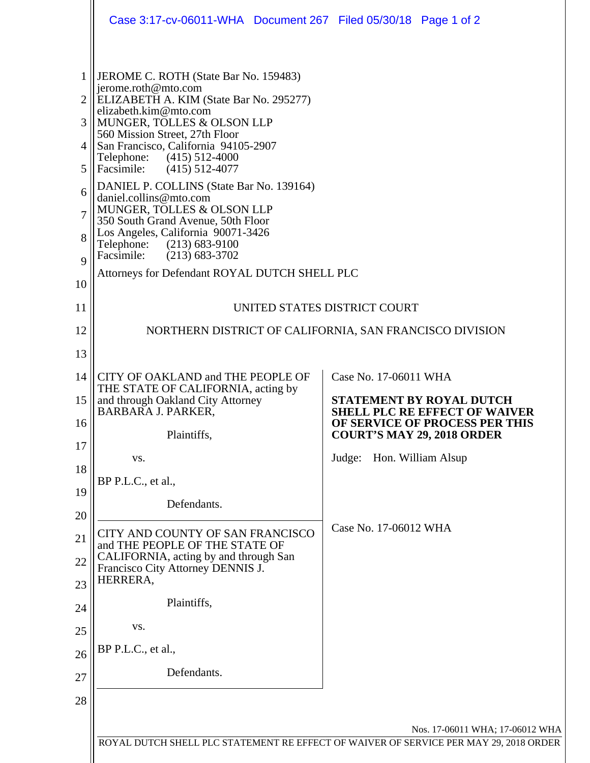|              | Case 3:17-cv-06011-WHA Document 267 Filed 05/30/18 Page 1 of 2                                                           |                                                                         |  |
|--------------|--------------------------------------------------------------------------------------------------------------------------|-------------------------------------------------------------------------|--|
|              |                                                                                                                          |                                                                         |  |
| $\mathbf{1}$ | JEROME C. ROTH (State Bar No. 159483)<br>jerome.roth@mto.com                                                             |                                                                         |  |
| 2            | ELIZABETH A. KIM (State Bar No. 295277)<br>elizabeth.kim@mto.com                                                         |                                                                         |  |
| 3            | MUNGER, TOLLES & OLSON LLP<br>560 Mission Street, 27th Floor                                                             |                                                                         |  |
| 4            | San Francisco, California 94105-2907<br>Telephone:<br>$(415)$ 512-4000                                                   |                                                                         |  |
| 5            | Facsimile: (415) 512-4077<br>DANIEL P. COLLINS (State Bar No. 139164)                                                    |                                                                         |  |
| 6            | daniel.collins@mto.com<br>MUNGER, TOLLES & OLSON LLP                                                                     |                                                                         |  |
| 7            | 350 South Grand Avenue, 50th Floor<br>Los Angeles, California 90071-3426                                                 |                                                                         |  |
| 8            | Telephone: (213) 683-9100<br>Facsimile: (213) 683-3702                                                                   |                                                                         |  |
| 9            | Attorneys for Defendant ROYAL DUTCH SHELL PLC                                                                            |                                                                         |  |
| 10           |                                                                                                                          |                                                                         |  |
| 11           | UNITED STATES DISTRICT COURT                                                                                             |                                                                         |  |
| 12           |                                                                                                                          | NORTHERN DISTRICT OF CALIFORNIA, SAN FRANCISCO DIVISION                 |  |
| 13           |                                                                                                                          |                                                                         |  |
| 14           | CITY OF OAKLAND and THE PEOPLE OF<br>THE STATE OF CALIFORNIA, acting by                                                  | Case No. 17-06011 WHA                                                   |  |
| 15           | and through Oakland City Attorney<br><b>BARBARA J. PARKER,</b>                                                           | <b>STATEMENT BY ROYAL DUTCH</b><br><b>SHELL PLC RE EFFECT OF WAIVER</b> |  |
| 16           | Plaintiffs,                                                                                                              | OF SERVICE OF PROCESS PER THIS<br><b>COURT'S MAY 29, 2018 ORDER</b>     |  |
| 17           | VS.                                                                                                                      | Judge: Hon. William Alsup                                               |  |
| 18           | BP P.L.C., et al.,                                                                                                       |                                                                         |  |
| 19           | Defendants.                                                                                                              |                                                                         |  |
| 20<br>21     | CITY AND COUNTY OF SAN FRANCISCO                                                                                         | Case No. 17-06012 WHA                                                   |  |
| 22           | and THE PEOPLE OF THE STATE OF<br>CALIFORNIA, acting by and through San                                                  |                                                                         |  |
| 23           | Francisco City Attorney DENNIS J.<br>HERRERA,                                                                            |                                                                         |  |
| 24           | Plaintiffs,                                                                                                              |                                                                         |  |
| 25           | VS.                                                                                                                      |                                                                         |  |
| 26           | BP P.L.C., et al.,                                                                                                       |                                                                         |  |
| 27           | Defendants.                                                                                                              |                                                                         |  |
| 28           |                                                                                                                          |                                                                         |  |
|              |                                                                                                                          |                                                                         |  |
|              | Nos. 17-06011 WHA; 17-06012 WHA<br>ROYAL DUTCH SHELL PLC STATEMENT RE EFFECT OF WAIVER OF SERVICE PER MAY 29, 2018 ORDER |                                                                         |  |
|              |                                                                                                                          |                                                                         |  |